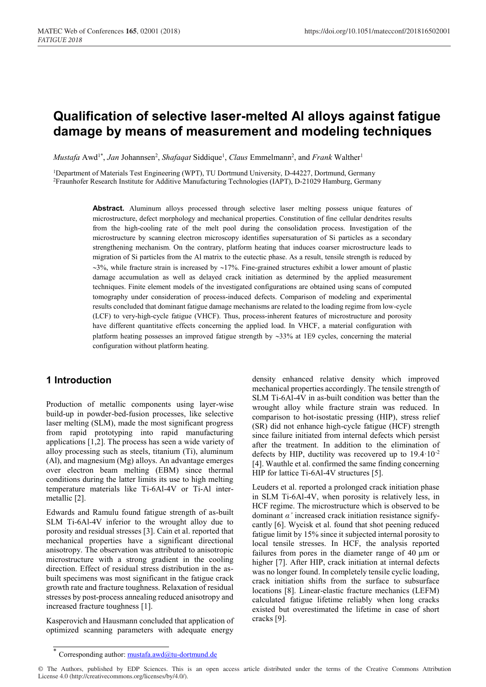# **Qualification of selective laser-melted Al alloys against fatigue damage by means of measurement and modeling techniques**

*Mustafa* Awd<sup>1\*</sup>, *Jan* Johannsen<sup>2</sup>, *Shafaqat* Siddique<sup>1</sup>, *Claus* Emmelmann<sup>2</sup>, and *Frank* Walther<sup>1</sup>

1Department of Materials Test Engineering (WPT), TU Dortmund University, D-44227, Dortmund, Germany 2Fraunhofer Research Institute for Additive Manufacturing Technologies (IAPT), D-21029 Hamburg, Germany

> **Abstract.** Aluminum alloys processed through selective laser melting possess unique features of microstructure, defect morphology and mechanical properties. Constitution of fine cellular dendrites results from the high-cooling rate of the melt pool during the consolidation process. Investigation of the microstructure by scanning electron microscopy identifies supersaturation of Si particles as a secondary strengthening mechanism. On the contrary, platform heating that induces coarser microstructure leads to migration of Si particles from the Al matrix to the eutectic phase. As a result, tensile strength is reduced by  $\sim$ 3%, while fracture strain is increased by  $\sim$ 17%. Fine-grained structures exhibit a lower amount of plastic damage accumulation as well as delayed crack initiation as determined by the applied measurement techniques. Finite element models of the investigated configurations are obtained using scans of computed tomography under consideration of process-induced defects. Comparison of modeling and experimental results concluded that dominant fatigue damage mechanisms are related to the loading regime from low-cycle (LCF) to very-high-cycle fatigue (VHCF). Thus, process-inherent features of microstructure and porosity have different quantitative effects concerning the applied load. In VHCF, a material configuration with platform heating possesses an improved fatigue strength by  $\sim$ 33% at 1E9 cycles, concerning the material configuration without platform heating.

# **1 Introduction**

Production of metallic components using layer-wise build-up in powder-bed-fusion processes, like selective laser melting (SLM), made the most significant progress from rapid prototyping into rapid manufacturing applications [1,2]. The process has seen a wide variety of alloy processing such as steels, titanium (Ti), aluminum (Al), and magnesium (Mg) alloys. An advantage emerges over electron beam melting (EBM) since thermal conditions during the latter limits its use to high melting temperature materials like Ti-6Al-4V or Ti-Al intermetallic [2].

Edwards and Ramulu found fatigue strength of as-built SLM Ti-6Al-4V inferior to the wrought alloy due to porosity and residual stresses [3]. Cain et al. reported that mechanical properties have a significant directional anisotropy. The observation was attributed to anisotropic microstructure with a strong gradient in the cooling direction. Effect of residual stress distribution in the asbuilt specimens was most significant in the fatigue crack growth rate and fracture toughness. Relaxation of residual stresses by post-process annealing reduced anisotropy and increased fracture toughness [1].

Kasperovich and Hausmann concluded that application of optimized scanning parameters with adequate energy

density enhanced relative density which improved mechanical properties accordingly. The tensile strength of SLM Ti-6Al-4V in as-built condition was better than the wrought alloy while fracture strain was reduced. In comparison to hot-isostatic pressing (HIP), stress relief (SR) did not enhance high-cycle fatigue (HCF) strength since failure initiated from internal defects which persist after the treatment. In addition to the elimination of defects by HIP, ductility was recovered up to  $19.4 \cdot 10^{-2}$ [4]. Wauthle et al. confirmed the same finding concerning HIP for lattice Ti-6Al-4V structures [5].

Leuders et al. reported a prolonged crack initiation phase in SLM Ti-6Al-4V, when porosity is relatively less, in HCF regime. The microstructure which is observed to be dominant *α'* increased crack initiation resistance signifycantly [6]. Wycisk et al. found that shot peening reduced fatigue limit by 15% since it subjected internal porosity to local tensile stresses. In HCF, the analysis reported failures from pores in the diameter range of 40 µm or higher [7]. After HIP, crack initiation at internal defects was no longer found. In completely tensile cyclic loading, crack initiation shifts from the surface to subsurface locations [8]. Linear-elastic fracture mechanics (LEFM) calculated fatigue lifetime reliably when long cracks existed but overestimated the lifetime in case of short cracks [9].

Corresponding author: mustafa.awd@tu-dortmund.de

<sup>©</sup> The Authors, published by EDP Sciences. This is an open access article distributed under the terms of the Creative Commons Attribution License 4.0 (http://creativecommons.org/licenses/by/4.0/).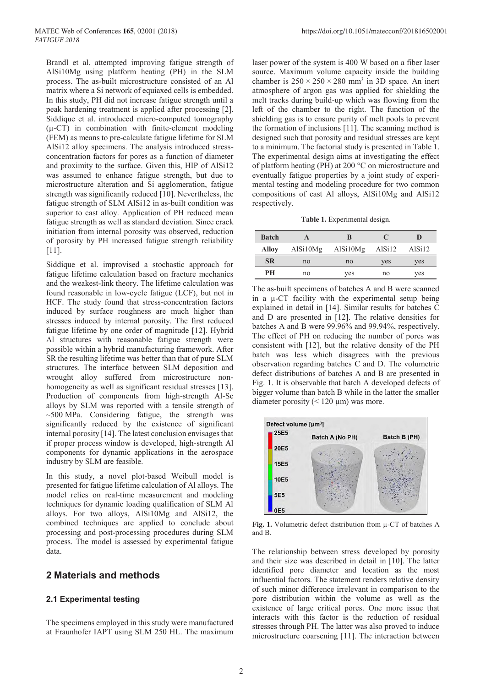Brandl et al. attempted improving fatigue strength of AlSi10Mg using platform heating (PH) in the SLM process. The as-built microstructure consisted of an Al matrix where a Si network of equiaxed cells is embedded. In this study, PH did not increase fatigue strength until a peak hardening treatment is applied after processing [2]. Siddique et al. introduced micro-computed tomography  $(\mu$ -CT) in combination with finite-element modeling (FEM) as means to pre-calculate fatigue lifetime for SLM AlSi12 alloy specimens. The analysis introduced stressconcentration factors for pores as a function of diameter and proximity to the surface. Given this, HIP of AlSi12 was assumed to enhance fatigue strength, but due to microstructure alteration and Si agglomeration, fatigue strength was significantly reduced [10]. Nevertheless, the fatigue strength of SLM AlSi12 in as-built condition was superior to cast alloy. Application of PH reduced mean fatigue strength as well as standard deviation. Since crack initiation from internal porosity was observed, reduction of porosity by PH increased fatigue strength reliability  $[11]$ .

Siddique et al. improvised a stochastic approach for fatigue lifetime calculation based on fracture mechanics and the weakest-link theory. The lifetime calculation was found reasonable in low-cycle fatigue (LCF), but not in HCF. The study found that stress-concentration factors induced by surface roughness are much higher than stresses induced by internal porosity. The first reduced fatigue lifetime by one order of magnitude [12]. Hybrid Al structures with reasonable fatigue strength were possible within a hybrid manufacturing framework. After SR the resulting lifetime was better than that of pure SLM structures. The interface between SLM deposition and wrought alloy suffered from microstructure nonhomogeneity as well as significant residual stresses [13]. Production of components from high-strength Al-Sc alloys by SLM was reported with a tensile strength of ~500 MPa. Considering fatigue, the strength was significantly reduced by the existence of significant internal porosity [14]. The latest conclusion envisages that if proper process window is developed, high-strength Al components for dynamic applications in the aerospace industry by SLM are feasible.

In this study, a novel plot-based Weibull model is presented for fatigue lifetime calculation of Al alloys. The model relies on real-time measurement and modeling techniques for dynamic loading qualification of SLM Al alloys. For two alloys, AlSi10Mg and AlSi12, the combined techniques are applied to conclude about processing and post-processing procedures during SLM process. The model is assessed by experimental fatigue data.

## **2 Materials and methods**

#### **2.1 Experimental testing**

The specimens employed in this study were manufactured at Fraunhofer IAPT using SLM 250 HL. The maximum

laser power of the system is 400 W based on a fiber laser source. Maximum volume capacity inside the building chamber is  $250 \times 250 \times 280$  mm<sup>3</sup> in 3D space. An inert atmosphere of argon gas was applied for shielding the melt tracks during build-up which was flowing from the left of the chamber to the right. The function of the shielding gas is to ensure purity of melt pools to prevent the formation of inclusions [11]. The scanning method is designed such that porosity and residual stresses are kept to a minimum. The factorial study is presented in Table 1. The experimental design aims at investigating the effect of platform heating (PH) at 200 °C on microstructure and eventually fatigue properties by a joint study of experimental testing and modeling procedure for two common compositions of cast Al alloys, AlSi10Mg and AlSi12 respectively.

**Table 1.** Experimental design.

| <b>Batch</b> |          | R        |        |                    |
|--------------|----------|----------|--------|--------------------|
| Alloy        | AlSi10Mg | AlSi10Mg | AlSi12 | AlSi <sub>12</sub> |
| <b>SR</b>    | no       | no       | yes    | yes                |
| PН           | no       | ves      | no     | ves                |

The as-built specimens of batches A and B were scanned in a µ-CT facility with the experimental setup being explained in detail in [14]. Similar results for batches C and D are presented in [12]. The relative densities for batches A and B were 99.96% and 99.94%, respectively. The effect of PH on reducing the number of pores was consistent with [12], but the relative density of the PH batch was less which disagrees with the previous observation regarding batches C and D. The volumetric defect distributions of batches A and B are presented in Fig. 1. It is observable that batch A developed defects of bigger volume than batch B while in the latter the smaller diameter porosity  $(< 120 \mu m$ ) was more.



**Fig. 1.** Volumetric defect distribution from µ-CT of batches A and B.

The relationship between stress developed by porosity and their size was described in detail in [10]. The latter identified pore diameter and location as the most influential factors. The statement renders relative density of such minor difference irrelevant in comparison to the pore distribution within the volume as well as the existence of large critical pores. One more issue that interacts with this factor is the reduction of residual stresses through PH. The latter was also proved to induce microstructure coarsening [11]. The interaction between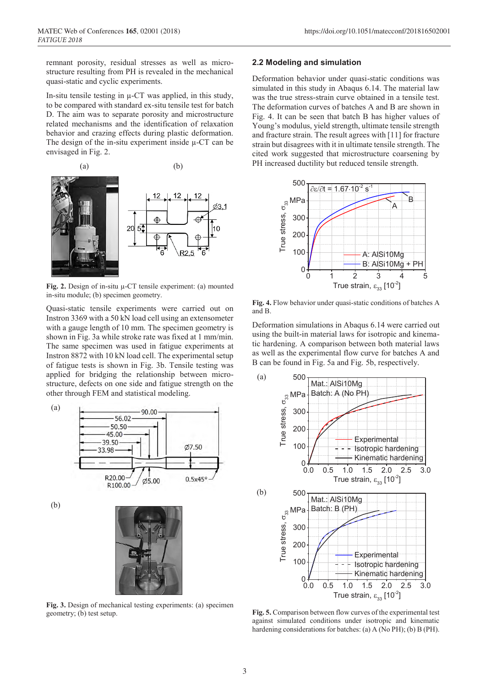remnant porosity, residual stresses as well as microstructure resulting from PH is revealed in the mechanical quasi-static and cyclic experiments.

In-situ tensile testing in  $\mu$ -CT was applied, in this study, to be compared with standard ex-situ tensile test for batch D. The aim was to separate porosity and microstructure related mechanisms and the identification of relaxation behavior and crazing effects during plastic deformation. The design of the in-situ experiment inside µ-CT can be envisaged in Fig. 2.



**Fig. 2.** Design of in-situ µ-CT tensile experiment: (a) mounted in-situ module; (b) specimen geometry.

Quasi-static tensile experiments were carried out on Instron 3369 with a 50 kN load cell using an extensometer with a gauge length of 10 mm. The specimen geometry is shown in Fig. 3a while stroke rate was fixed at 1 mm/min. The same specimen was used in fatigue experiments at Instron 8872 with 10 kN load cell. The experimental setup of fatigue tests is shown in Fig. 3b. Tensile testing was applied for bridging the relationship between microstructure, defects on one side and fatigue strength on the other through FEM and statistical modeling.



**Fig. 3.** Design of mechanical testing experiments: (a) specimen geometry; (b) test setup.

#### **2.2 Modeling and simulation**

Deformation behavior under quasi-static conditions was simulated in this study in Abaqus 6.14. The material law was the true stress-strain curve obtained in a tensile test. The deformation curves of batches A and B are shown in Fig. 4. It can be seen that batch B has higher values of Young's modulus, yield strength, ultimate tensile strength and fracture strain. The result agrees with [11] for fracture strain but disagrees with it in ultimate tensile strength. The cited work suggested that microstructure coarsening by PH increased ductility but reduced tensile strength.



**Fig. 4.** Flow behavior under quasi-static conditions of batches A and B.

Deformation simulations in Abaqus 6.14 were carried out using the built-in material laws for isotropic and kinematic hardening. A comparison between both material laws as well as the experimental flow curve for batches A and B can be found in Fig. 5a and Fig. 5b, respectively.



**Fig. 5.** Comparison between flow curves of the experimental test against simulated conditions under isotropic and kinematic hardening considerations for batches: (a) A (No PH); (b) B (PH).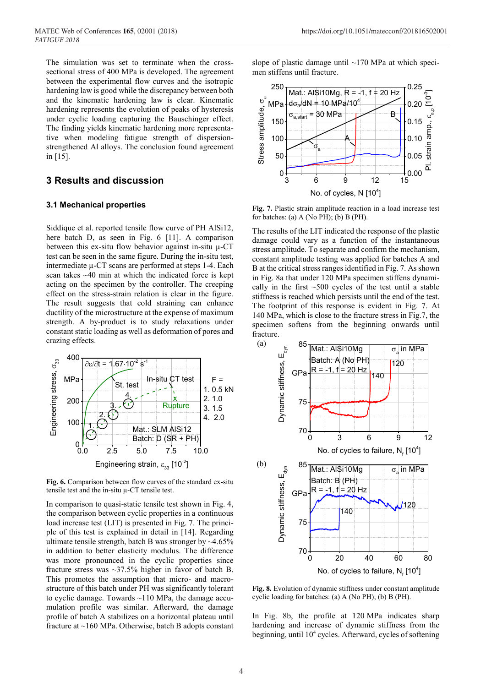The simulation was set to terminate when the crosssectional stress of 400 MPa is developed. The agreement between the experimental flow curves and the isotropic hardening law is good while the discrepancy between both and the kinematic hardening law is clear. Kinematic hardening represents the evolution of peaks of hysteresis under cyclic loading capturing the Bauschinger effect. The finding yields kinematic hardening more representative when modeling fatigue strength of dispersionstrengthened Al alloys. The conclusion found agreement in [15].

## **3 Results and discussion**

#### **3.1 Mechanical properties**

Siddique et al. reported tensile flow curve of PH AlSi12, here batch D, as seen in Fig. 6 [11]. A comparison between this ex-situ flow behavior against in-situ  $\mu$ -CT test can be seen in the same figure. During the in-situ test, intermediate µ-CT scans are performed at steps 1-4. Each scan takes ~40 min at which the indicated force is kept acting on the specimen by the controller. The creeping effect on the stress-strain relation is clear in the figure. The result suggests that cold straining can enhance ductility of the microstructure at the expense of maximum strength. A by-product is to study relaxations under constant static loading as well as deformation of pores and crazing effects.



**Fig. 6.** Comparison between flow curves of the standard ex-situ tensile test and the in-situ µ-CT tensile test.

In comparison to quasi-static tensile test shown in Fig. 4, the comparison between cyclic properties in a continuous load increase test (LIT) is presented in Fig. 7. The principle of this test is explained in detail in [14]. Regarding ultimate tensile strength, batch B was stronger by  $\sim$ 4.65% in addition to better elasticity modulus. The difference was more pronounced in the cyclic properties since fracture stress was ~37.5% higher in favor of batch B. This promotes the assumption that micro- and macrostructure of this batch under PH was significantly tolerant to cyclic damage. Towards  $\sim$ 110 MPa, the damage accumulation profile was similar. Afterward, the damage profile of batch A stabilizes on a horizontal plateau until fracture at ~160 MPa. Otherwise, batch B adopts constant

slope of plastic damage until  $~170$  MPa at which specimen stiffens until fracture.



**Fig. 7.** Plastic strain amplitude reaction in a load increase test for batches: (a) A (No PH); (b) B (PH).

The results of the LIT indicated the response of the plastic damage could vary as a function of the instantaneous stress amplitude. To separate and confirm the mechanism, constant amplitude testing was applied for batches A and B at the critical stress ranges identified in Fig. 7. As shown in Fig. 8a that under 120 MPa specimen stiffens dynamically in the first  $\sim$ 500 cycles of the test until a stable stiffness is reached which persists until the end of the test. The footprint of this response is evident in Fig. 7. At 140 MPa, which is close to the fracture stress in Fig.7, the specimen softens from the beginning onwards until fracture.



**Fig. 8.** Evolution of dynamic stiffness under constant amplitude cyclic loading for batches: (a) A (No PH); (b) B (PH).

In Fig. 8b, the profile at 120 MPa indicates sharp hardening and increase of dynamic stiffness from the beginning, until 104 cycles. Afterward, cycles of softening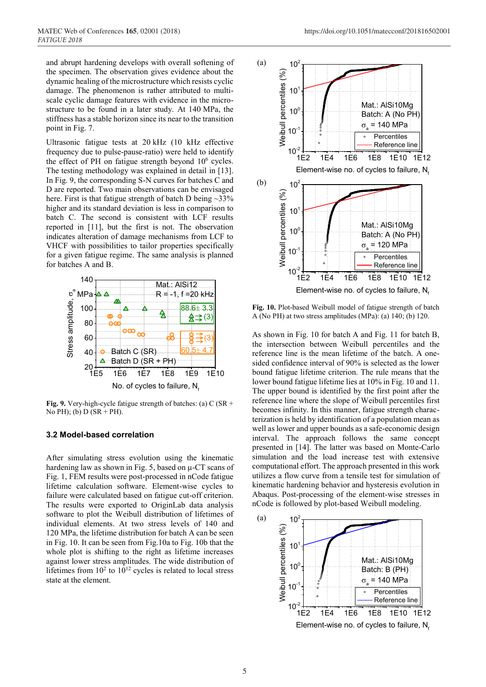and abrupt hardening develops with overall softening of the specimen. The observation gives evidence about the dynamic healing of the microstructure which resists cyclic damage. The phenomenon is rather attributed to multiscale cyclic damage features with evidence in the microstructure to be found in a later study. At 140 MPa, the stiffness has a stable horizon since its near to the transition point in Fig. 7.

Ultrasonic fatigue tests at 20 kHz (10 kHz effective frequency due to pulse-pause-ratio) were held to identify the effect of PH on fatigue strength beyond  $10<sup>6</sup>$  cycles. The testing methodology was explained in detail in [13]. In Fig. 9, the corresponding S-N curves for batches C and D are reported. Two main observations can be envisaged here. First is that fatigue strength of batch D being  $\sim$ 33% higher and its standard deviation is less in comparison to batch C. The second is consistent with LCF results reported in [11], but the first is not. The observation indicates alteration of damage mechanisms from LCF to VHCF with possibilities to tailor properties specifically for a given fatigue regime. The same analysis is planned for batches A and B.



**Fig. 9.** Very-high-cycle fatigue strength of batches: (a) C (SR + No PH); (b)  $D (SR + PH)$ .

#### **3.2 Model-based correlation**

After simulating stress evolution using the kinematic hardening law as shown in Fig. 5, based on µ-CT scans of Fig. 1, FEM results were post-processed in nCode fatigue lifetime calculation software. Element-wise cycles to failure were calculated based on fatigue cut-off criterion. The results were exported to OriginLab data analysis software to plot the Weibull distribution of lifetimes of individual elements. At two stress levels of 140 and 120 MPa, the lifetime distribution for batch A can be seen in Fig. 10. It can be seen from Fig.10a to Fig. 10b that the whole plot is shifting to the right as lifetime increases against lower stress amplitudes. The wide distribution of lifetimes from  $10^2$  to  $10^{12}$  cycles is related to local stress state at the element.



**Fig. 10.** Plot-based Weibull model of fatigue strength of batch A (No PH) at two stress amplitudes (MPa): (a) 140; (b) 120.

As shown in Fig. 10 for batch A and Fig. 11 for batch B, the intersection between Weibull percentiles and the reference line is the mean lifetime of the batch. A onesided confidence interval of 90% is selected as the lower bound fatigue lifetime criterion. The rule means that the lower bound fatigue lifetime lies at 10% in Fig. 10 and 11. The upper bound is identified by the first point after the reference line where the slope of Weibull percentiles first becomes infinity. In this manner, fatigue strength characterization is held by identification of a population mean as well as lower and upper bounds as a safe-economic design interval. The approach follows the same concept presented in [14]. The latter was based on Monte-Carlo simulation and the load increase test with extensive computational effort. The approach presented in this work utilizes a flow curve from a tensile test for simulation of kinematic hardening behavior and hysteresis evolution in Abaqus. Post-processing of the element-wise stresses in nCode is followed by plot-based Weibull modeling.

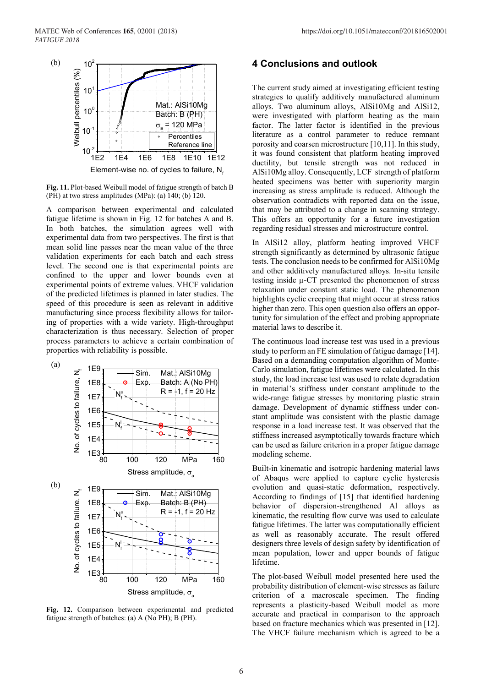

**Fig. 11.** Plot-based Weibull model of fatigue strength of batch B (PH) at two stress amplitudes (MPa): (a) 140; (b) 120.

A comparison between experimental and calculated fatigue lifetime is shown in Fig. 12 for batches A and B. In both batches, the simulation agrees well with experimental data from two perspectives. The first is that mean solid line passes near the mean value of the three validation experiments for each batch and each stress level. The second one is that experimental points are confined to the upper and lower bounds even at experimental points of extreme values. VHCF validation of the predicted lifetimes is planned in later studies. The speed of this procedure is seen as relevant in additive manufacturing since process flexibility allows for tailoring of properties with a wide variety. High-throughput characterization is thus necessary. Selection of proper process parameters to achieve a certain combination of properties with reliability is possible.



**Fig. 12.** Comparison between experimental and predicted fatigue strength of batches: (a) A (No PH); B (PH).

## **4 Conclusions and outlook**

The current study aimed at investigating efficient testing strategies to qualify additively manufactured aluminum alloys. Two aluminum alloys, AlSi10Mg and AlSi12, were investigated with platform heating as the main factor. The latter factor is identified in the previous literature as a control parameter to reduce remnant porosity and coarsen microstructure [10,11]. In this study, it was found consistent that platform heating improved ductility, but tensile strength was not reduced in AlSi10Mg alloy. Consequently, LCF strength of platform heated specimens was better with superiority margin increasing as stress amplitude is reduced. Although the observation contradicts with reported data on the issue, that may be attributed to a change in scanning strategy. This offers an opportunity for a future investigation regarding residual stresses and microstructure control.

In AlSi12 alloy, platform heating improved VHCF strength significantly as determined by ultrasonic fatigue tests. The conclusion needs to be confirmed for AlSi10Mg and other additively manufactured alloys. In-situ tensile testing inside µ-CT presented the phenomenon of stress relaxation under constant static load. The phenomenon highlights cyclic creeping that might occur at stress ratios higher than zero. This open question also offers an opportunity for simulation of the effect and probing appropriate material laws to describe it.

The continuous load increase test was used in a previous study to perform an FE simulation of fatigue damage [14]. Based on a demanding computation algorithm of Monte-Carlo simulation, fatigue lifetimes were calculated. In this study, the load increase test was used to relate degradation in material's stiffness under constant amplitude to the wide-range fatigue stresses by monitoring plastic strain damage. Development of dynamic stiffness under constant amplitude was consistent with the plastic damage response in a load increase test. It was observed that the stiffness increased asymptotically towards fracture which can be used as failure criterion in a proper fatigue damage modeling scheme.

Built-in kinematic and isotropic hardening material laws of Abaqus were applied to capture cyclic hysteresis evolution and quasi-static deformation, respectively. According to findings of [15] that identified hardening behavior of dispersion-strengthened Al alloys as kinematic, the resulting flow curve was used to calculate fatigue lifetimes. The latter was computationally efficient as well as reasonably accurate. The result offered designers three levels of design safety by identification of mean population, lower and upper bounds of fatigue lifetime.

The plot-based Weibull model presented here used the probability distribution of element-wise stresses as failure criterion of a macroscale specimen. The finding represents a plasticity-based Weibull model as more accurate and practical in comparison to the approach based on fracture mechanics which was presented in [12]. The VHCF failure mechanism which is agreed to be a